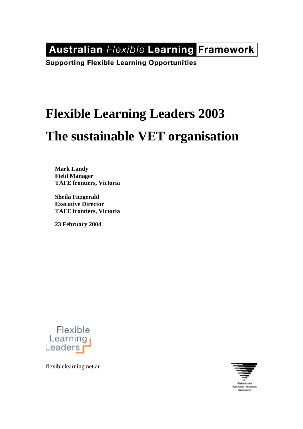**Australian Flexible Learning Framework** 

**Supporting Flexible Learning Opportunities** 

# **Flexible Learning Leaders 2003 The sustainable VET organisation**

**Mark Landy Field Manager TAFE frontiers, Victoria** 

**Sheila Fitzgerald Executive Director TAFE frontiers, Victoria** 

**23 February 2004** 



flexiblelearning.net.au

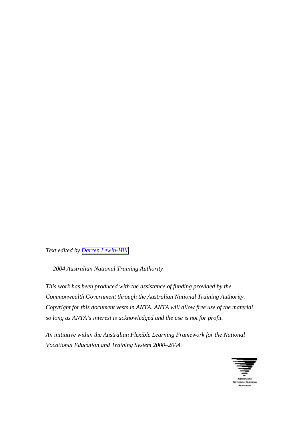*Text edited by [Darren Lewin-Hill](mailto:dlewinhill@optusnet.com.au)*

 *2004 Australian National Training Authority* 

*This work has been produced with the assistance of funding provided by the Commonwealth Government through the Australian National Training Authority. Copyright for this document vests in ANTA. ANTA will allow free use of the material so long as ANTA's interest is acknowledged and the use is not for profit.* 

*An initiative within the Australian Flexible Learning Framework for the National Vocational Education and Training System 2000–2004.* 

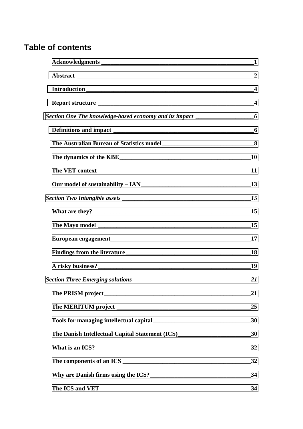# **Table of contents**

|                                                                                                                                                                                                                                       | $\overline{2}$          |
|---------------------------------------------------------------------------------------------------------------------------------------------------------------------------------------------------------------------------------------|-------------------------|
|                                                                                                                                                                                                                                       | $\overline{\mathbf{4}}$ |
|                                                                                                                                                                                                                                       | $\overline{\mathbf{4}}$ |
| Section One The knowledge-based economy and its impact ________________________6                                                                                                                                                      |                         |
|                                                                                                                                                                                                                                       |                         |
|                                                                                                                                                                                                                                       |                         |
|                                                                                                                                                                                                                                       |                         |
|                                                                                                                                                                                                                                       |                         |
| Our model of sustainability - IAN<br>13                                                                                                                                                                                               |                         |
|                                                                                                                                                                                                                                       |                         |
|                                                                                                                                                                                                                                       |                         |
|                                                                                                                                                                                                                                       |                         |
|                                                                                                                                                                                                                                       |                         |
|                                                                                                                                                                                                                                       |                         |
|                                                                                                                                                                                                                                       |                         |
|                                                                                                                                                                                                                                       |                         |
|                                                                                                                                                                                                                                       | 21                      |
|                                                                                                                                                                                                                                       | _25                     |
|                                                                                                                                                                                                                                       |                         |
| The Danish Intellectual Capital Statement (ICS)<br>20                                                                                                                                                                                 |                         |
|                                                                                                                                                                                                                                       | 32                      |
|                                                                                                                                                                                                                                       | 32                      |
| Why are Danish firms using the ICS?<br><u>Letting and the ICS</u> and the ICS and the ICS and the ICS and the ICS and the ICS and the ICS and the ICS and the ICS and the ICS and the ICS and the ICS and the ICS and the ICS and the | 34                      |
|                                                                                                                                                                                                                                       | 34                      |
|                                                                                                                                                                                                                                       |                         |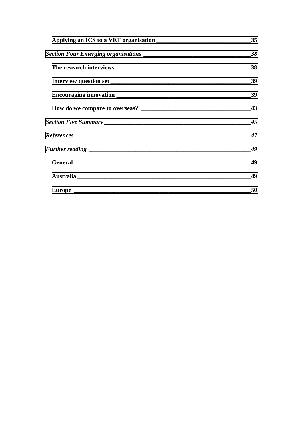| 35 |
|----|
| 38 |
| 38 |
|    |
| 39 |
|    |
| 45 |
| 47 |
| 49 |
| 49 |
|    |
| 50 |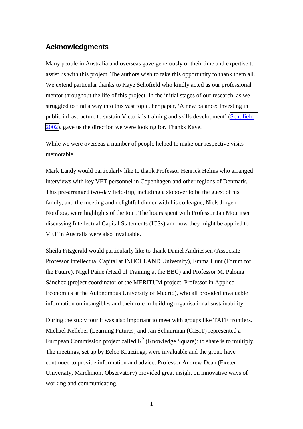#### <span id="page-4-0"></span>**Acknowledgments**

Many people in Australia and overseas gave generously of their time and expertise to assist us with this project. The authors wish to take this opportunity to thank them all. We extend particular thanks to Kaye Schofield who kindly acted as our professional mentor throughout the life of this project. In the initial stages of our research, as we struggled to find a way into this vast topic, her paper, 'A new balance: Investing in public infrastructure to sustain Victoria's training and skills development' [\(Schofield](http://www.otte.vic.gov.au/publications/KnowledgeandSkills/pdf/Project6-Infrastructure-Schofield.pdf)  [2002\)](http://www.otte.vic.gov.au/publications/KnowledgeandSkills/pdf/Project6-Infrastructure-Schofield.pdf), gave us the direction we were looking for. Thanks Kaye.

While we were overseas a number of people helped to make our respective visits memorable.

Mark Landy would particularly like to thank Professor Henrick Helms who arranged interviews with key VET personnel in Copenhagen and other regions of Denmark. This pre-arranged two-day field-trip, including a stopover to be the guest of his family, and the meeting and delightful dinner with his colleague, Niels Jorgen Nordbog, were highlights of the tour. The hours spent with Professor Jan Mouritsen discussing Intellectual Capital Statements (ICSs) and how they might be applied to VET in Australia were also invaluable.

Sheila Fitzgerald would particularly like to thank Daniel Andriessen (Associate Professor Intellectual Capital at INHOLLAND University), Emma Hunt (Forum for the Future), Nigel Paine (Head of Training at the BBC) and Professor M. Paloma Sánchez (project coordinator of the MERITUM project, Professor in Applied Economics at the Autonomous University of Madrid), who all provided invaluable information on intangibles and their role in building organisational sustainability.

During the study tour it was also important to meet with groups like TAFE frontiers. Michael Kelleher (Learning Futures) and Jan Schuurman (CIBIT) represented a European Commission project called  $K^2$  (Knowledge Square): to share is to multiply. The meetings, set up by Eelco Kruizinga, were invaluable and the group have continued to provide information and advice. Professor Andrew Dean (Exeter University, Marchmont Observatory) provided great insight on innovative ways of working and communicating.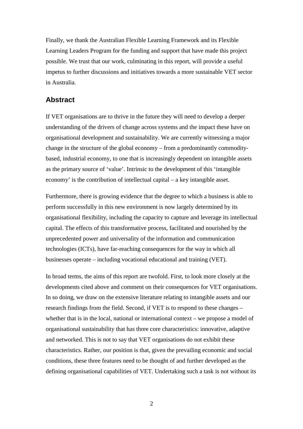<span id="page-5-0"></span>Finally, we thank the Australian Flexible Learning Framework and its Flexible Learning Leaders Program for the funding and support that have made this project possible. We trust that our work, culminating in this report, will provide a useful impetus to further discussions and initiatives towards a more sustainable VET sector in Australia.

#### **Abstract**

If VET organisations are to thrive in the future they will need to develop a deeper understanding of the drivers of change across systems and the impact these have on organisational development and sustainability. We are currently witnessing a major change in the structure of the global economy – from a predominantly commoditybased, industrial economy, to one that is increasingly dependent on intangible assets as the primary source of 'value'. Intrinsic to the development of this 'intangible economy' is the contribution of intellectual capital – a key intangible asset.

Furthermore, there is growing evidence that the degree to which a business is able to perform successfully in this new environment is now largely determined by its organisational flexibility, including the capacity to capture and leverage its intellectual capital. The effects of this transformative process, facilitated and nourished by the unprecedented power and universality of the information and communication technologies (ICTs), have far-reaching consequences for the way in which all businesses operate – including vocational educational and training (VET).

In broad terms, the aims of this report are twofold. First, to look more closely at the developments cited above and comment on their consequences for VET organisations. In so doing, we draw on the extensive literature relating to intangible assets and our research findings from the field. Second, if VET is to respond to these changes – whether that is in the local, national or international context – we propose a model of organisational sustainability that has three core characteristics: innovative, adaptive and networked. This is not to say that VET organisations do not exhibit these characteristics. Rather, our position is that, given the prevailing economic and social conditions, these three features need to be thought of and further developed as the defining organisational capabilities of VET. Undertaking such a task is not without its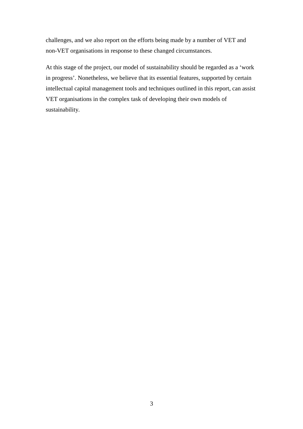challenges, and we also report on the efforts being made by a number of VET and non-VET organisations in response to these changed circumstances.

At this stage of the project, our model of sustainability should be regarded as a 'work in progress'. Nonetheless, we believe that its essential features, supported by certain intellectual capital management tools and techniques outlined in this report, can assist VET organisations in the complex task of developing their own models of sustainability.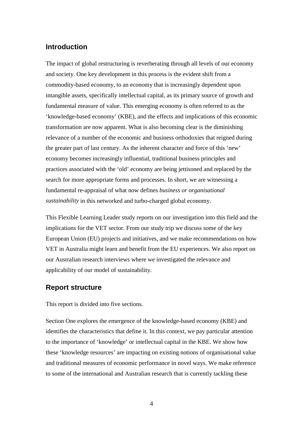#### <span id="page-7-0"></span>**Introduction**

The impact of global restructuring is reverberating through all levels of our economy and society. One key development in this process is the evident shift from a commodity-based economy, to an economy that is increasingly dependent upon intangible assets, specifically intellectual capital, as its primary source of growth and fundamental measure of value. This emerging economy is often referred to as the 'knowledge-based economy' (KBE), and the effects and implications of this economic transformation are now apparent. What is also becoming clear is the diminishing relevance of a number of the economic and business orthodoxies that reigned during the greater part of last century. As the inherent character and force of this 'new' economy becomes increasingly influential, traditional business principles and practices associated with the 'old' economy are being jettisoned and replaced by the search for more appropriate forms and processes. In short, we are witnessing a fundamental re-appraisal of what now defines *business or organisational sustainability* in this networked and turbo-charged global economy.

This Flexible Learning Leader study reports on our investigation into this field and the implications for the VET sector. From our study trip we discuss some of the key European Union (EU) projects and initiatives, and we make recommendations on how VET in Australia might learn and benefit from the EU experiences. We also report on our Australian research interviews where we investigated the relevance and applicability of our model of sustainability.

#### **Report structure**

This report is divided into five sections.

Section One explores the emergence of the knowledge-based economy (KBE) and identifies the characteristics that define it. In this context, we pay particular attention to the importance of 'knowledge' or intellectual capital in the KBE. We show how these 'knowledge resources' are impacting on existing notions of organisational value and traditional measures of economic performance in novel ways. We make reference to some of the international and Australian research that is currently tackling these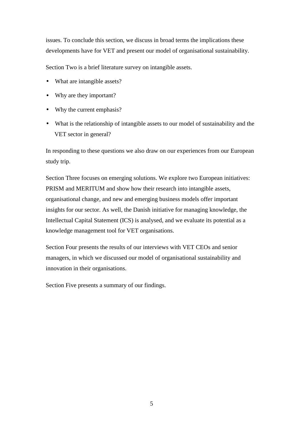issues. To conclude this section, we discuss in broad terms the implications these developments have for VET and present our model of organisational sustainability.

Section Two is a brief literature survey on intangible assets.

- What are intangible assets?
- Why are they important?
- Why the current emphasis?
- What is the relationship of intangible assets to our model of sustainability and the VET sector in general?

In responding to these questions we also draw on our experiences from our European study trip.

Section Three focuses on emerging solutions. We explore two European initiatives: PRISM and MERITUM and show how their research into intangible assets, organisational change, and new and emerging business models offer important insights for our sector. As well, the Danish initiative for managing knowledge, the Intellectual Capital Statement (ICS) is analysed, and we evaluate its potential as a knowledge management tool for VET organisations.

Section Four presents the results of our interviews with VET CEOs and senior managers, in which we discussed our model of organisational sustainability and innovation in their organisations.

Section Five presents a summary of our findings.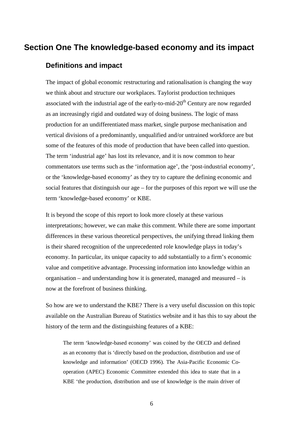## <span id="page-9-0"></span>**Section One The knowledge-based economy and its impact**

## **Definitions and impact**

The impact of global economic restructuring and rationalisation is changing the way we think about and structure our workplaces. Taylorist production techniques associated with the industrial age of the early-to-mid- $20<sup>th</sup>$  Century are now regarded as an increasingly rigid and outdated way of doing business. The logic of mass production for an undifferentiated mass market, single purpose mechanisation and vertical divisions of a predominantly, unqualified and/or untrained workforce are but some of the features of this mode of production that have been called into question. The term 'industrial age' has lost its relevance, and it is now common to hear commentators use terms such as the 'information age', the 'post-industrial economy', or the 'knowledge-based economy' as they try to capture the defining economic and social features that distinguish our age – for the purposes of this report we will use the term 'knowledge-based economy' or KBE.

It is beyond the scope of this report to look more closely at these various interpretations; however, we can make this comment. While there are some important differences in these various theoretical perspectives, the unifying thread linking them is their shared recognition of the unprecedented role knowledge plays in today's economy. In particular, its unique capacity to add substantially to a firm's economic value and competitive advantage. Processing information into knowledge within an organisation – and understanding how it is generated, managed and measured – is now at the forefront of business thinking.

So how are we to understand the KBE? There is a very useful discussion on this topic available on the Australian Bureau of Statistics website and it has this to say about the history of the term and the distinguishing features of a KBE:

The term 'knowledge-based economy' was coined by the OECD and defined as an economy that is 'directly based on the production, distribution and use of knowledge and information' (OECD 1996). The Asia-Pacific Economic Cooperation (APEC) Economic Committee extended this idea to state that in a KBE 'the production, distribution and use of knowledge is the main driver of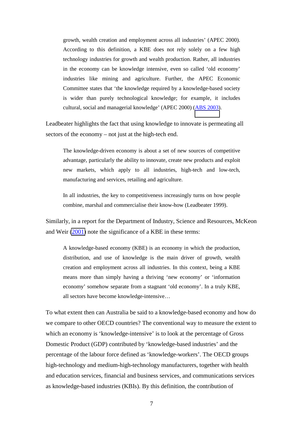growth, wealth creation and employment across all industries' (APEC 2000). According to this definition, a KBE does not rely solely on a few high technology industries for growth and wealth production. Rather, all industries in the economy can be knowledge intensive, even so called 'old economy' industries like mining and agriculture. Further, the APEC Economic Committee states that 'the knowledge required by a knowledge-based society is wider than purely technological knowledge; for example, it includes cultural, social and managerial knowledge' (APEC 2000) ([ABS 2003\)](http://www.abs.gov.au/Ausstats/abs%40.nsf/66f306f503e529a5ca25697e0017661f/371268d066f69612ca256c220025e8a6!OpenDocument).

Leadbeater highlights the fact that using knowledge to innovate is permeating all sectors of the economy – not just at the high-tech end.

The knowledge-driven economy is about a set of new sources of competitive advantage, particularly the ability to innovate, create new products and exploit new markets, which apply to all industries, high-tech and low-tech, manufacturing and services, retailing and agriculture.

In all industries, the key to competitiveness increasingly turns on how people combine, marshal and commercialise their know-how (Leadbeater 1999).

Similarly, in a report for the Department of Industry, Science and Resources, McKeon and Weir [\(2001\)](http://www.industry.gov.au/assets/documents/itrinternet/NEBBHERT_article_final.doc) note the significance of a KBE in these terms:

A knowledge-based economy (KBE) is an economy in which the production, distribution, and use of knowledge is the main driver of growth, wealth creation and employment across all industries. In this context, being a KBE means more than simply having a thriving 'new economy' or 'information economy' somehow separate from a stagnant 'old economy'. In a truly KBE, all sectors have become knowledge-intensive…

To what extent then can Australia be said to a knowledge-based economy and how do we compare to other OECD countries? The conventional way to measure the extent to which an economy is 'knowledge-intensive' is to look at the percentage of Gross Domestic Product (GDP) contributed by 'knowledge-based industries' and the percentage of the labour force defined as 'knowledge-workers'. The OECD groups high-technology and medium-high-technology manufacturers, together with health and education services, financial and business services, and communications services as knowledge-based industries (KBIs). By this definition, the contribution of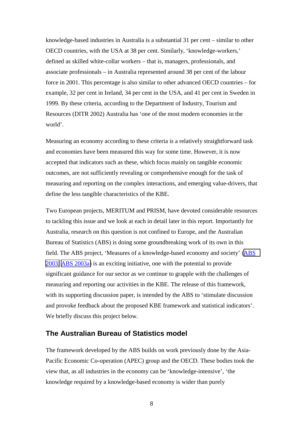<span id="page-11-0"></span>knowledge-based industries in Australia is a substantial 31 per cent – similar to other OECD countries, with the USA at 38 per cent. Similarly, 'knowledge-workers,' defined as skilled white-collar workers – that is, managers, professionals, and associate professionals – in Australia represented around 38 per cent of the labour force in 2001. This percentage is also similar to other advanced OECD countries – for example, 32 per cent in Ireland, 34 per cent in the USA, and 41 per cent in Sweden in 1999. By these criteria, according to the Department of Industry, Tourism and Resources (DITR 2002) Australia has 'one of the most modern economies in the world'.

Measuring an economy according to these criteria is a relatively straightforward task and economies have been measured this way for some time. However, it is now accepted that indicators such as these, which focus mainly on tangible economic outcomes, are not sufficiently revealing or comprehensive enough for the task of measuring and reporting on the complex interactions, and emerging value-drivers, that define the less tangible characteristics of the KBE.

Two European projects, MERITUM and PRISM, have devoted considerable resources to tackling this issue and we look at each in detail later in this report. Importantly for Australia, research on this question is not confined to Europe, and the Australian Bureau of Statistics (ABS) is doing some groundbreaking work of its own in this field. The ABS project, 'Measures of a knowledge-based economy and society' ([ABS](http://www.abs.gov.au/Ausstats/abs%40.nsf/66f306f503e529a5ca25697e0017661f/371268d066f69612ca256c220025e8a6!OpenDocument)  [2003;](http://www.abs.gov.au/Ausstats/abs%40.nsf/66f306f503e529a5ca25697e0017661f/371268d066f69612ca256c220025e8a6!OpenDocument) [ABS 2003a\)](http://www.abs.gov.au/Ausstats/abs%40.nsf/94713ad445ff1425ca25682000192af2/4f377c757da4394fca256d97002c1a68!OpenDocument) is an exciting initiative, one with the potential to provide significant guidance for our sector as we continue to grapple with the challenges of measuring and reporting our activities in the KBE. The release of this framework, with its supporting discussion paper, is intended by the ABS to 'stimulate discussion and provoke feedback about the proposed KBE framework and statistical indicators'. We briefly discuss this project below.

#### **The Australian Bureau of Statistics model**

The framework developed by the ABS builds on work previously done by the Asia-Pacific Economic Co-operation (APEC) group and the OECD. These bodies took the view that, as all industries in the economy can be 'knowledge-intensive', 'the knowledge required by a knowledge-based economy is wider than purely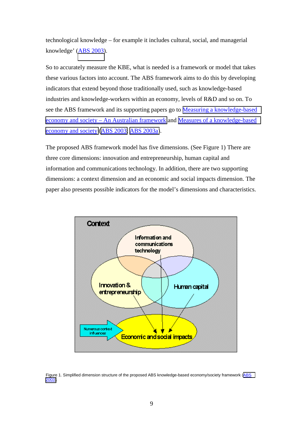technological knowledge – for example it includes cultural, social, and managerial knowledge' [\(ABS 2003\)](http://www.abs.gov.au/Ausstats/abs%40.nsf/66f306f503e529a5ca25697e0017661f/371268d066f69612ca256c220025e8a6!OpenDocument).

So to accurately measure the KBE, what is needed is a framework or model that takes these various factors into account. The ABS framework aims to do this by developing indicators that extend beyond those traditionally used, such as knowledge-based industries and knowledge-workers within an economy, levels of R&D and so on. To see the ABS framework and its supporting papers go to [Measuring a knowledge-based](http://www.abs.gov.au/Ausstats/abs%40.nsf/66f306f503e529a5ca25697e0017661f/fe633d1d2b900671ca256c220025e8a3!OpenDocument)  [economy and society – An Australian framework](http://www.abs.gov.au/Ausstats/abs%40.nsf/66f306f503e529a5ca25697e0017661f/fe633d1d2b900671ca256c220025e8a3!OpenDocument) and [Measures of a knowledge-based](http://www.abs.gov.au/Ausstats/abs%40.nsf/94713ad445ff1425ca25682000192af2/4f377c757da4394fca256d97002c1a68!OpenDocument)  [economy and society](http://www.abs.gov.au/Ausstats/abs%40.nsf/94713ad445ff1425ca25682000192af2/4f377c757da4394fca256d97002c1a68!OpenDocument) [\(ABS 2003;](http://www.abs.gov.au/Ausstats/abs%40.nsf/66f306f503e529a5ca25697e0017661f/fe633d1d2b900671ca256c220025e8a3!OpenDocument) [ABS 2003a\)](http://www.abs.gov.au/Ausstats/abs%40.nsf/94713ad445ff1425ca25682000192af2/4f377c757da4394fca256d97002c1a68!OpenDocument).

The proposed ABS framework model has five dimensions. (See Figure 1) There are three core dimensions: innovation and entrepreneurship, human capital and information and communications technology. In addition, there are two supporting dimensions: a context dimension and an economic and social impacts dimension. The paper also presents possible indicators for the model's dimensions and characteristics.



Figure 1. Simplified dimension structure of the proposed [ABS](http://www.abs.gov.au/Ausstats/abs%40.nsf/66f306f503e529a5ca25697e0017661f/fe633d1d2b900671ca256c220025e8a3!OpenDocument) knowledge-based economy/society framework (ABS [2003\)](http://www.abs.gov.au/Ausstats/abs%40.nsf/66f306f503e529a5ca25697e0017661f/fe633d1d2b900671ca256c220025e8a3!OpenDocument).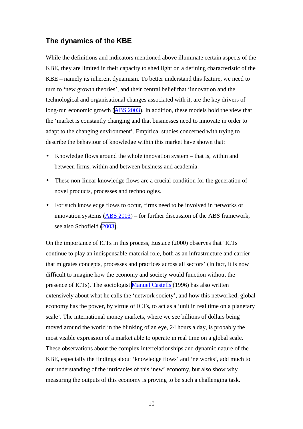#### <span id="page-13-0"></span>**The dynamics of the KBE**

While the definitions and indicators mentioned above illuminate certain aspects of the KBE, they are limited in their capacity to shed light on a defining characteristic of the KBE – namely its inherent dynamism. To better understand this feature, we need to turn to 'new growth theories', and their central belief that 'innovation and the technological and organisational changes associated with it, are the key drivers of long-run economic growth ([ABS 2003\)](http://www.abs.gov.au/Ausstats/abs%40.nsf/66f306f503e529a5ca25697e0017661f/371268d066f69612ca256c220025e8a6!OpenDocument). In addition, these models hold the view that the 'market is constantly changing and that businesses need to innovate in order to adapt to the changing environment'. Empirical studies concerned with trying to describe the behaviour of knowledge within this market have shown that:

- Knowledge flows around the whole innovation system that is, within and between firms, within and between business and academia.
- These non-linear knowledge flows are a crucial condition for the generation of novel products, processes and technologies.
- For such knowledge flows to occur, firms need to be involved in networks or innovation systems [\(ABS 2003\)](http://www.abs.gov.au/Ausstats/abs%40.nsf/66f306f503e529a5ca25697e0017661f/371268d066f69612ca256c220025e8a6!OpenDocument) – for further discussion of the ABS framework, see also Schofield [\(2003\)](http://www.tafefrontiers.com.au/flexible/presentations/Plenary/Kaye_Schofield.ppt).

On the importance of ICTs in this process, Eustace (2000) observes that 'ICTs continue to play an indispensable material role, both as an infrastructure and carrier that migrates concepts, processes and practices across all sectors' (In fact, it is now difficult to imagine how the economy and society would function without the presence of ICTs). The sociologist [Manuel Castells](http://sociology.berkeley.edu/faculty/castells/) (1996) has also written extensively about what he calls the 'network society', and how this networked, global economy has the power, by virtue of ICTs, to act as a 'unit in real time on a planetary scale'. The international money markets, where we see billions of dollars being moved around the world in the blinking of an eye, 24 hours a day, is probably the most visible expression of a market able to operate in real time on a global scale. These observations about the complex interrelationships and dynamic nature of the KBE, especially the findings about 'knowledge flows' and 'networks', add much to our understanding of the intricacies of this 'new' economy, but also show why measuring the outputs of this economy is proving to be such a challenging task.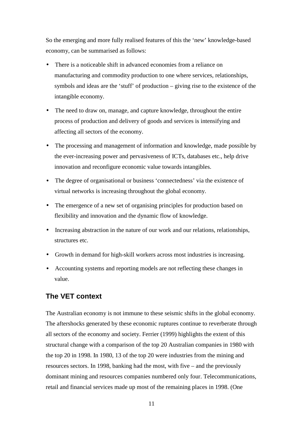<span id="page-14-0"></span>So the emerging and more fully realised features of this the 'new' knowledge-based economy, can be summarised as follows:

- There is a noticeable shift in advanced economies from a reliance on manufacturing and commodity production to one where services, relationships, symbols and ideas are the 'stuff' of production – giving rise to the existence of the intangible economy.
- The need to draw on, manage, and capture knowledge, throughout the entire process of production and delivery of goods and services is intensifying and affecting all sectors of the economy.
- The processing and management of information and knowledge, made possible by the ever-increasing power and pervasiveness of ICTs, databases etc., help drive innovation and reconfigure economic value towards intangibles.
- The degree of organisational or business 'connectedness' via the existence of virtual networks is increasing throughout the global economy.
- The emergence of a new set of organising principles for production based on flexibility and innovation and the dynamic flow of knowledge.
- Increasing abstraction in the nature of our work and our relations, relationships, structures etc.
- Growth in demand for high-skill workers across most industries is increasing.
- Accounting systems and reporting models are not reflecting these changes in value.

#### **The VET context**

The Australian economy is not immune to these seismic shifts in the global economy. The aftershocks generated by these economic ruptures continue to reverberate through all sectors of the economy and society. Ferrier (1999) highlights the extent of this structural change with a comparison of the top 20 Australian companies in 1980 with the top 20 in 1998. In 1980, 13 of the top 20 were industries from the mining and resources sectors. In 1998, banking had the most, with five – and the previously dominant mining and resources companies numbered only four. Telecommunications, retail and financial services made up most of the remaining places in 1998. (One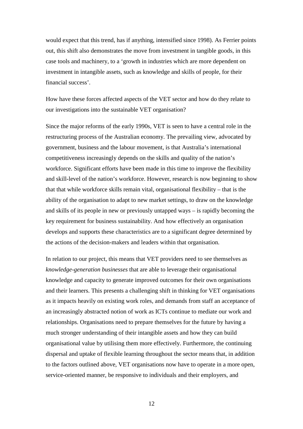would expect that this trend, has if anything, intensified since 1998). As Ferrier points out, this shift also demonstrates the move from investment in tangible goods, in this case tools and machinery, to a 'growth in industries which are more dependent on investment in intangible assets, such as knowledge and skills of people, for their financial success'.

How have these forces affected aspects of the VET sector and how do they relate to our investigations into the sustainable VET organisation?

Since the major reforms of the early 1990s, VET is seen to have a central role in the restructuring process of the Australian economy. The prevailing view, advocated by government, business and the labour movement, is that Australia's international competitiveness increasingly depends on the skills and quality of the nation's workforce. Significant efforts have been made in this time to improve the flexibility and skill-level of the nation's workforce. However, research is now beginning to show that that while workforce skills remain vital, organisational flexibility – that is the ability of the organisation to adapt to new market settings, to draw on the knowledge and skills of its people in new or previously untapped ways – is rapidly becoming the key requirement for business sustainability. And how effectively an organisation develops and supports these characteristics are to a significant degree determined by the actions of the decision-makers and leaders within that organisation.

In relation to our project, this means that VET providers need to see themselves as *knowledge-generation businesses* that are able to leverage their organisational knowledge and capacity to generate improved outcomes for their own organisations and their learners. This presents a challenging shift in thinking for VET organisations as it impacts heavily on existing work roles, and demands from staff an acceptance of an increasingly abstracted notion of work as ICTs continue to mediate our work and relationships. Organisations need to prepare themselves for the future by having a much stronger understanding of their intangible assets and how they can build organisational value by utilising them more effectively. Furthermore, the continuing dispersal and uptake of flexible learning throughout the sector means that, in addition to the factors outlined above, VET organisations now have to operate in a more open, service-oriented manner, be responsive to individuals and their employers, and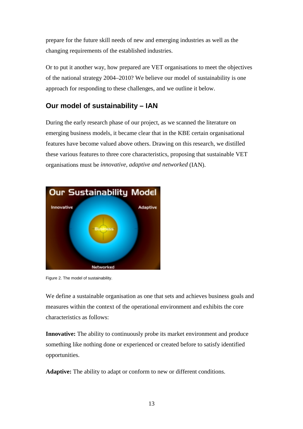<span id="page-16-0"></span>prepare for the future skill needs of new and emerging industries as well as the changing requirements of the established industries.

Or to put it another way, how prepared are VET organisations to meet the objectives of the national strategy 2004–2010? We believe our model of sustainability is one approach for responding to these challenges, and we outline it below.

## **Our model of sustainability – IAN**

During the early research phase of our project, as we scanned the literature on emerging business models, it became clear that in the KBE certain organisational features have become valued above others. Drawing on this research, we distilled these various features to three core characteristics, proposing that sustainable VET organisations must be *innovative, adaptive and networked* (IAN).



Figure 2. The model of sustainability.

We define a sustainable organisation as one that sets and achieves business goals and measures within the context of the operational environment and exhibits the core characteristics as follows:

**Innovative:** The ability to continuously probe its market environment and produce something like nothing done or experienced or created before to satisfy identified opportunities.

**Adaptive:** The ability to adapt or conform to new or different conditions.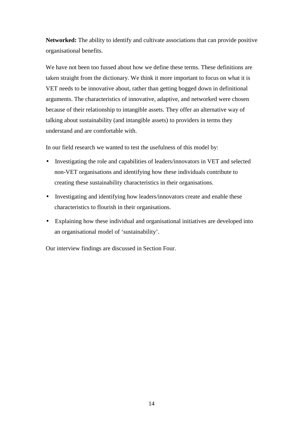**Networked:** The ability to identify and cultivate associations that can provide positive organisational benefits.

We have not been too fussed about how we define these terms. These definitions are taken straight from the dictionary. We think it more important to focus on what it is VET needs to be innovative about, rather than getting bogged down in definitional arguments. The characteristics of innovative, adaptive, and networked were chosen because of their relationship to intangible assets. They offer an alternative way of talking about sustainability (and intangible assets) to providers in terms they understand and are comfortable with.

In our field research we wanted to test the usefulness of this model by:

- Investigating the role and capabilities of leaders/innovators in VET and selected non-VET organisations and identifying how these individuals contribute to creating these sustainability characteristics in their organisations.
- Investigating and identifying how leaders/innovators create and enable these characteristics to flourish in their organisations.
- Explaining how these individual and organisational initiatives are developed into an organisational model of 'sustainability'.

Our interview findings are discussed in Section Four.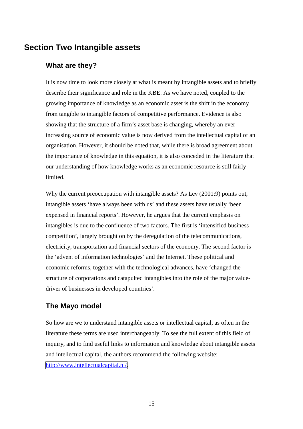# <span id="page-18-0"></span>**Section Two Intangible assets**

## **What are they?**

It is now time to look more closely at what is meant by intangible assets and to briefly describe their significance and role in the KBE. As we have noted, coupled to the growing importance of knowledge as an economic asset is the shift in the economy from tangible to intangible factors of competitive performance. Evidence is also showing that the structure of a firm's asset base is changing, whereby an everincreasing source of economic value is now derived from the intellectual capital of an organisation. However, it should be noted that, while there is broad agreement about the importance of knowledge in this equation, it is also conceded in the literature that our understanding of how knowledge works as an economic resource is still fairly limited.

Why the current preoccupation with intangible assets? As Lev (2001:9) points out, intangible assets 'have always been with us' and these assets have usually 'been expensed in financial reports'. However, he argues that the current emphasis on intangibles is due to the confluence of two factors. The first is 'intensified business competition', largely brought on by the deregulation of the telecommunications, electricity, transportation and financial sectors of the economy. The second factor is the 'advent of information technologies' and the Internet. These political and economic reforms, together with the technological advances, have 'changed the structure of corporations and catapulted intangibles into the role of the major valuedriver of businesses in developed countries'.

## **The Mayo model**

So how are we to understand intangible assets or intellectual capital, as often in the literature these terms are used interchangeably. To see the full extent of this field of inquiry, and to find useful links to information and knowledge about intangible assets and intellectual capital, the authors recommend the following website: [http://www.intellectualcapital.nl/.](http://www.intellectualcapital.nl/)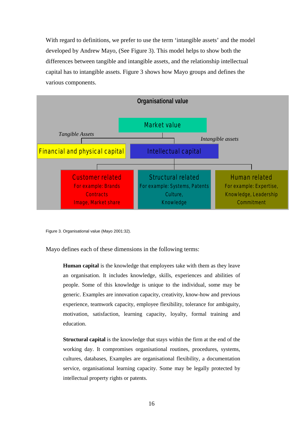With regard to definitions, we prefer to use the term 'intangible assets' and the model developed by Andrew Mayo, (See Figure 3). This model helps to show both the differences between tangible and intangible assets, and the relationship intellectual capital has to intangible assets. Figure 3 shows how Mayo groups and defines the various components.



Figure 3. Organisational value (Mayo 2001:32).

Mayo defines each of these dimensions in the following terms:

**Human capital** is the knowledge that employees take with them as they leave an organisation. It includes knowledge, skills, experiences and abilities of people. Some of this knowledge is unique to the individual, some may be generic. Examples are innovation capacity, creativity, know-how and previous experience, teamwork capacity, employee flexibility, tolerance for ambiguity, motivation, satisfaction, learning capacity, loyalty, formal training and education.

**Structural capital** is the knowledge that stays within the firm at the end of the working day. It compromises organisational routines, procedures, systems, cultures, databases, Examples are organisational flexibility, a documentation service, organisational learning capacity. Some may be legally protected by intellectual property rights or patents.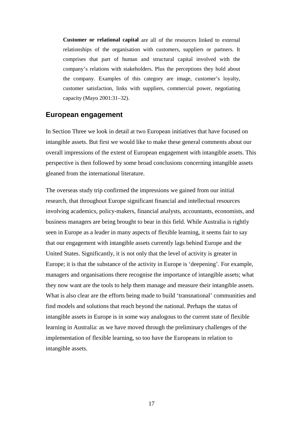<span id="page-20-0"></span>**Customer or relational capital** are all of the resources linked to external relationships of the organisation with customers, suppliers or partners. It comprises that part of human and structural capital involved with the company's relations with stakeholders. Plus the perceptions they hold about the company. Examples of this category are image, customer's loyalty, customer satisfaction, links with suppliers, commercial power, negotiating capacity (Mayo 2001:31–32).

#### **European engagement**

In Section Three we look in detail at two European initiatives that have focused on intangible assets. But first we would like to make these general comments about our overall impressions of the extent of European engagement with intangible assets. This perspective is then followed by some broad conclusions concerning intangible assets gleaned from the international literature.

The overseas study trip confirmed the impressions we gained from our initial research, that throughout Europe significant financial and intellectual resources involving academics, policy-makers, financial analysts, accountants, economists, and business managers are being brought to bear in this field. While Australia is rightly seen in Europe as a leader in many aspects of flexible learning, it seems fair to say that our engagement with intangible assets currently lags behind Europe and the United States. Significantly, it is not only that the level of activity is greater in Europe; it is that the substance of the activity in Europe is 'deepening'. For example, managers and organisations there recognise the importance of intangible assets; what they now want are the tools to help them manage and measure their intangible assets. What is also clear are the efforts being made to build 'transnational' communities and find models and solutions that reach beyond the national. Perhaps the status of intangible assets in Europe is in some way analogous to the current state of flexible learning in Australia: as we have moved through the preliminary challenges of the implementation of flexible learning, so too have the Europeans in relation to intangible assets.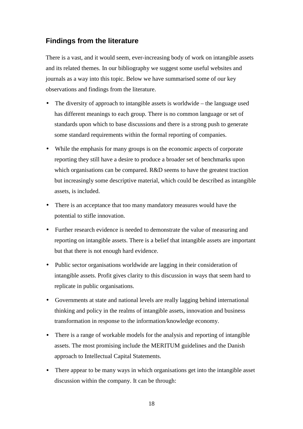## <span id="page-21-0"></span>**Findings from the literature**

There is a vast, and it would seem, ever-increasing body of work on intangible assets and its related themes. In our bibliography we suggest some useful websites and journals as a way into this topic. Below we have summarised some of our key observations and findings from the literature.

- The diversity of approach to intangible assets is worldwide the language used has different meanings to each group. There is no common language or set of standards upon which to base discussions and there is a strong push to generate some standard requirements within the formal reporting of companies.
- While the emphasis for many groups is on the economic aspects of corporate reporting they still have a desire to produce a broader set of benchmarks upon which organisations can be compared. R&D seems to have the greatest traction but increasingly some descriptive material, which could be described as intangible assets, is included.
- There is an acceptance that too many mandatory measures would have the potential to stifle innovation.
- Further research evidence is needed to demonstrate the value of measuring and reporting on intangible assets. There is a belief that intangible assets are important but that there is not enough hard evidence.
- Public sector organisations worldwide are lagging in their consideration of intangible assets. Profit gives clarity to this discussion in ways that seem hard to replicate in public organisations.
- Governments at state and national levels are really lagging behind international thinking and policy in the realms of intangible assets, innovation and business transformation in response to the information/knowledge economy.
- There is a range of workable models for the analysis and reporting of intangible assets. The most promising include the MERITUM guidelines and the Danish approach to Intellectual Capital Statements.
- There appear to be many ways in which organisations get into the intangible asset discussion within the company. It can be through: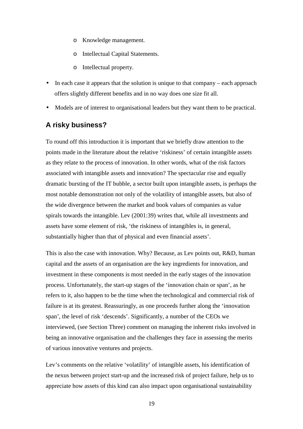- <span id="page-22-0"></span>o Knowledge management.
- o Intellectual Capital Statements.
- o Intellectual property.
- In each case it appears that the solution is unique to that company each approach offers slightly different benefits and in no way does one size fit all.
- Models are of interest to organisational leaders but they want them to be practical.

## **A risky business?**

To round off this introduction it is important that we briefly draw attention to the points made in the literature about the relative 'riskiness' of certain intangible assets as they relate to the process of innovation. In other words, what of the risk factors associated with intangible assets and innovation? The spectacular rise and equally dramatic bursting of the IT bubble, a sector built upon intangible assets, is perhaps the most notable demonstration not only of the volatility of intangible assets, but also of the wide divergence between the market and book values of companies as value spirals towards the intangible. Lev (2001:39) writes that, while all investments and assets have some element of risk, 'the riskiness of intangibles is, in general, substantially higher than that of physical and even financial assets'.

This is also the case with innovation. Why? Because, as Lev points out, R&D, human capital and the assets of an organisation are the key ingredients for innovation, and investment in these components is most needed in the early stages of the innovation process. Unfortunately, the start-up stages of the 'innovation chain or span', as he refers to it, also happen to be the time when the technological and commercial risk of failure is at its greatest. Reassuringly, as one proceeds further along the 'innovation span', the level of risk 'descends'. Significantly, a number of the CEOs we interviewed, (see Section Three) comment on managing the inherent risks involved in being an innovative organisation and the challenges they face in assessing the merits of various innovative ventures and projects.

Lev's comments on the relative 'volatility' of intangible assets, his identification of the nexus between project start-up and the increased risk of project failure, help us to appreciate how assets of this kind can also impact upon organisational sustainability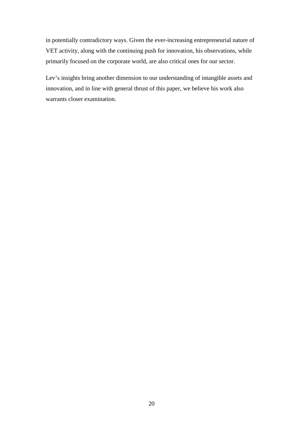in potentially contradictory ways. Given the ever-increasing entrepreneurial nature of VET activity, along with the continuing push for innovation, his observations, while primarily focused on the corporate world, are also critical ones for our sector.

Lev's insights bring another dimension to our understanding of intangible assets and innovation, and in line with general thrust of this paper, we believe his work also warrants closer examination.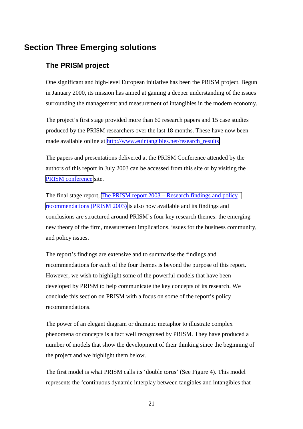# <span id="page-24-0"></span>**Section Three Emerging solutions**

## **The PRISM project**

One significant and high-level European initiative has been the PRISM project. Begun in January 2000, its mission has aimed at gaining a deeper understanding of the issues surrounding the management and measurement of intangibles in the modern economy.

The project's first stage provided more than 60 research papers and 15 case studies produced by the PRISM researchers over the last 18 months. These have now been made available online at [http://www.euintangibles.net/research\\_results.](http://www.euintangibles.net/research_results)

The papers and presentations delivered at the PRISM Conference attended by the authors of this report in July 2003 can be accessed from this site or by visiting the [PRISM conference](http://www.euintangibles.net/conferences/) site.

The final stage report, [The PRISM report 2003 – Research findings and policy](http://www.euintangibles.net/research_results/FinalReport.pdf)  [recommendations \(PRISM 2003\)](http://www.euintangibles.net/research_results/FinalReport.pdf) is also now available and its findings and conclusions are structured around PRISM's four key research themes: the emerging new theory of the firm, measurement implications, issues for the business community, and policy issues.

The report's findings are extensive and to summarise the findings and recommendations for each of the four themes is beyond the purpose of this report. However, we wish to highlight some of the powerful models that have been developed by PRISM to help communicate the key concepts of its research. We conclude this section on PRISM with a focus on some of the report's policy recommendations.

The power of an elegant diagram or dramatic metaphor to illustrate complex phenomena or concepts is a fact well recognised by PRISM. They have produced a number of models that show the development of their thinking since the beginning of the project and we highlight them below.

The first model is what PRISM calls its 'double torus' (See Figure 4). This model represents the 'continuous dynamic interplay between tangibles and intangibles that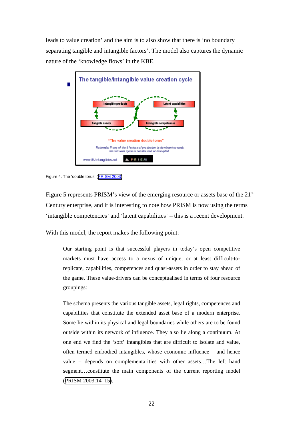leads to value creation' and the aim is to also show that there is 'no boundary separating tangible and intangible factors'. The model also captures the dynamic nature of the 'knowledge flows' in the KBE.



Figure 4. The 'double torus' ([PRISM 2003\)](http://www.euintangibles.net/research_results/FinalReport.pdf).

Figure 5 represents PRISM's view of the emerging resource or assets base of the 21<sup>st</sup> Century enterprise, and it is interesting to note how PRISM is now using the terms 'intangible competencies' and 'latent capabilities' – this is a recent development.

With this model, the report makes the following point:

Our starting point is that successful players in today's open competitive markets must have access to a nexus of unique, or at least difficult-toreplicate, capabilities, competences and quasi-assets in order to stay ahead of the game. These value-drivers can be conceptualised in terms of four resource groupings:

The schema presents the various tangible assets, legal rights, competences and capabilities that constitute the extended asset base of a modern enterprise. Some lie within its physical and legal boundaries while others are to be found outside within its network of influence. They also lie along a continuum. At one end we find the 'soft' intangibles that are difficult to isolate and value, often termed embodied intangibles, whose economic influence – and hence value – depends on complementarities with other assets…The left hand segment…constitute the main components of the current reporting model ([PRISM 2003:14–15\)](http://www.euintangibles.net/research_results/FinalReport.pdf).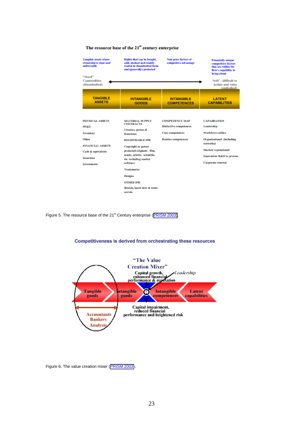#### The resource base of the 21st century enterprise



Figure 5. The resource base of the 21<sup>st</sup> Century enterprise ([PRISM 2003\)](http://www.euintangibles.net/research_results/FinalReport.pdf).



Competitiveness is derived from orchestrating these resources

Figure 6. The value creation mixer ([PRISM 2003\)](http://www.euintangibles.net/research_results/FinalReport.pdf).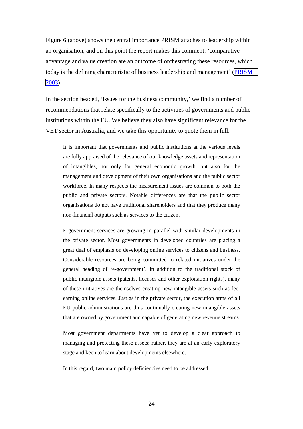Figure 6 (above) shows the central importance PRISM attaches to leadership within an organisation, and on this point the report makes this comment: 'comparative advantage and value creation are an outcome of orchestrating these resources, which today is the defining characteristic of business leadership and management' [\(PRISM](http://www.euintangibles.net/research_results/FinalReport.pdf)  [2003\)](http://www.euintangibles.net/research_results/FinalReport.pdf).

In the section headed, 'Issues for the business community,' we find a number of recommendations that relate specifically to the activities of governments and public institutions within the EU. We believe they also have significant relevance for the VET sector in Australia, and we take this opportunity to quote them in full.

It is important that governments and public institutions at the various levels are fully appraised of the relevance of our knowledge assets and representation of intangibles, not only for general economic growth, but also for the management and development of their own organisations and the public sector workforce. In many respects the measurement issues are common to both the public and private sectors. Notable differences are that the public sector organisations do not have traditional shareholders and that they produce many non-financial outputs such as services to the citizen.

E-government services are growing in parallel with similar developments in the private sector. Most governments in developed countries are placing a great deal of emphasis on developing online services to citizens and business. Considerable resources are being committed to related initiatives under the general heading of 'e-government'. In addition to the traditional stock of public intangible assets (patents, licenses and other exploitation rights), many of these initiatives are themselves creating new intangible assets such as feeearning online services. Just as in the private sector, the execution arms of all EU public administrations are thus continually creating new intangible assets that are owned by government and capable of generating new revenue streams.

Most government departments have yet to develop a clear approach to managing and protecting these assets; rather, they are at an early exploratory stage and keen to learn about developments elsewhere.

In this regard, two main policy deficiencies need to be addressed: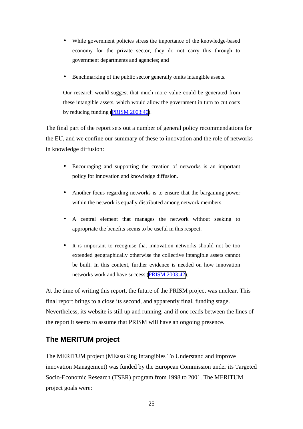- <span id="page-28-0"></span>• While government policies stress the importance of the knowledge-based economy for the private sector, they do not carry this through to government departments and agencies; and
- Benchmarking of the public sector generally omits intangible assets.

Our research would suggest that much more value could be generated from these intangible assets, which would allow the government in turn to cut costs by reducing funding [\(PRISM 2003:40\)](http://www.euintangibles.net/research_results/FinalReport.pdf).

The final part of the report sets out a number of general policy recommendations for the EU, and we confine our summary of these to innovation and the role of networks in knowledge diffusion:

- Encouraging and supporting the creation of networks is an important policy for innovation and knowledge diffusion.
- Another focus regarding networks is to ensure that the bargaining power within the network is equally distributed among network members.
- A central element that manages the network without seeking to appropriate the benefits seems to be useful in this respect.
- It is important to recognise that innovation networks should not be too extended geographically otherwise the collective intangible assets cannot be built. In this context, further evidence is needed on how innovation networks work and have success ([PRISM 2003:42\)](http://www.euintangibles.net/research_results/FinalReport.pdf).

At the time of writing this report, the future of the PRISM project was unclear. This final report brings to a close its second, and apparently final, funding stage. Nevertheless, its website is still up and running, and if one reads between the lines of the report it seems to assume that PRISM will have an ongoing presence.

## **The MERITUM project**

The MERITUM project (MEasuRing Intangibles To Understand and improve innovation Management) was funded by the European Commission under its Targeted Socio-Economic Research (TSER) program from 1998 to 2001. The MERITUM project goals were: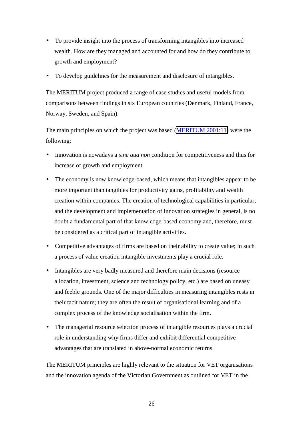- To provide insight into the process of transforming intangibles into increased wealth. How are they managed and accounted for and how do they contribute to growth and employment?
- To develop guidelines for the measurement and disclosure of intangibles.

The MERITUM project produced a range of case studies and useful models from comparisons between findings in six European countries (Denmark, Finland, France, Norway, Sweden, and Spain).

The main principles on which the project was based [\(MERITUM 2001:11\)](http://www.uam.es/proyectosinv/meritum/mainresults.doc) were the following:

- Innovation is nowadays a *sine qua non* condition for competitiveness and thus for increase of growth and employment.
- The economy is now knowledge-based, which means that intangibles appear to be more important than tangibles for productivity gains, profitability and wealth creation within companies. The creation of technological capabilities in particular, and the development and implementation of innovation strategies in general, is no doubt a fundamental part of that knowledge-based economy and, therefore, must be considered as a critical part of intangible activities.
- Competitive advantages of firms are based on their ability to create value; in such a process of value creation intangible investments play a crucial role.
- Intangibles are very badly measured and therefore main decisions (resource allocation, investment, science and technology policy, etc.) are based on uneasy and feeble grounds. One of the major difficulties in measuring intangibles rests in their tacit nature; they are often the result of organisational learning and of a complex process of the knowledge socialisation within the firm.
- The managerial resource selection process of intangible resources plays a crucial role in understanding why firms differ and exhibit differential competitive advantages that are translated in above-normal economic returns.

The MERITUM principles are highly relevant to the situation for VET organisations and the innovation agenda of the Victorian Government as outlined for VET in the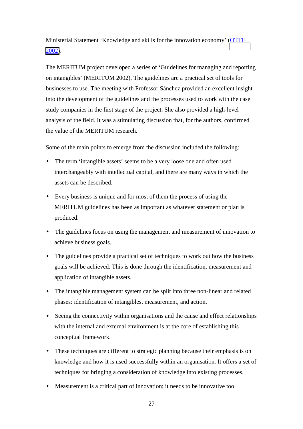Ministerial Statement 'Knowledge and skills for the innovation economy' [\(OTTE](http://www.otte.vic.gov.au/publications/KnowledgeandSkills/pdf/KS-Statement.pdf)  [2002\)](http://www.otte.vic.gov.au/publications/KnowledgeandSkills/pdf/KS-Statement.pdf).

The MERITUM project developed a series of 'Guidelines for managing and reporting on intangibles' (MERITUM 2002). The guidelines are a practical set of tools for businesses to use. The meeting with Professor Sánchez provided an excellent insight into the development of the guidelines and the processes used to work with the case study companies in the first stage of the project. She also provided a high-level analysis of the field. It was a stimulating discussion that, for the authors, confirmed the value of the MERITUM research.

Some of the main points to emerge from the discussion included the following:

- The term 'intangible assets' seems to be a very loose one and often used interchangeably with intellectual capital, and there are many ways in which the assets can be described.
- Every business is unique and for most of them the process of using the MERITUM guidelines has been as important as whatever statement or plan is produced.
- The guidelines focus on using the management and measurement of innovation to achieve business goals.
- The guidelines provide a practical set of techniques to work out how the business goals will be achieved. This is done through the identification, measurement and application of intangible assets.
- The intangible management system can be split into three non-linear and related phases: identification of intangibles, measurement, and action.
- Seeing the connectivity within organisations and the cause and effect relationships with the internal and external environment is at the core of establishing this conceptual framework.
- These techniques are different to strategic planning because their emphasis is on knowledge and how it is used successfully within an organisation. It offers a set of techniques for bringing a consideration of knowledge into existing processes.
- Measurement is a critical part of innovation; it needs to be innovative too.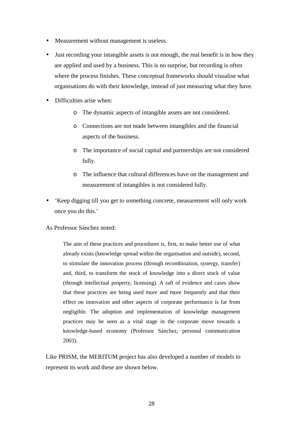- Measurement without management is useless.
- Just recording your intangible assets is not enough, the real benefit is in how they are applied and used by a business. This is no surprise, but recording is often where the process finishes. These conceptual frameworks should visualise what organisations do with their knowledge, instead of just measuring what they have.
- Difficulties arise when:
	- o The dynamic aspects of intangible assets are not considered.
	- o Connections are not made between intangibles and the financial aspects of the business.
	- o The importance of social capital and partnerships are not considered fully.
	- o The influence that cultural differences have on the management and measurement of intangibles is not considered fully.
- 'Keep digging till you get to something concrete, measurement will only work once you do this.'

#### As Professor Sánchez noted:

The aim of these practices and procedures is, first, to make better use of what already exists (knowledge spread within the organisation and outside), second, to stimulate the innovation process (through recombination, synergy, transfer) and, third, to transform the stock of knowledge into a direct stock of value (through intellectual property, licensing). A raft of evidence and cases show that these practices are being used more and more frequently and that their effect on innovation and other aspects of corporate performance is far from negligible. The adoption and implementation of knowledge management practices may be seen as a vital stage in the corporate move towards a knowledge-based economy (Professor Sánchez, personal communication 2003).

Like PRISM, the MERITUM project has also developed a number of models to represent its work and these are shown below.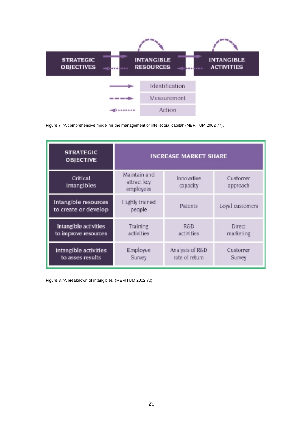

Figure 7. 'A comprehensive model for the management of intellectual capital' (MERITUM 2002:77).

| <b>STRATEGIC</b><br><b>OBJECTIVE</b>          | <b>INCREASE MARKET SHARE</b>             |                                   |                      |
|-----------------------------------------------|------------------------------------------|-----------------------------------|----------------------|
| Critical<br>Intangibles                       | Maintain and<br>attract key<br>employees | Innovative<br>capacity            | Customer<br>approach |
| Intangible resources<br>to create or develop  | Highly trained<br>people                 | Patents                           | Loyal customers      |
| Intangible activities<br>to improve resources | Training<br>activities                   | R&D<br>activities                 | Direct<br>marketing  |
| Intangible activities<br>to asses results     | Employee<br>Survey                       | Analysis of R&D<br>rate of return | Customer<br>Survey   |

Figure 8. 'A breakdown of intangibles' (MERITUM 2002:70).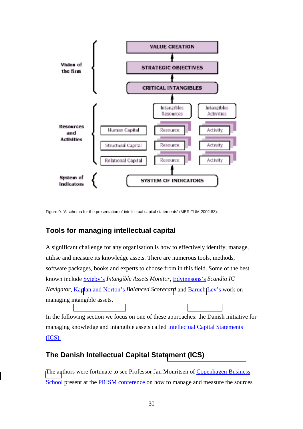<span id="page-33-0"></span>

Figure 9. 'A schema for the presentation of intellectual capital statements' (MERITUM 2002:83).

## **Tools for managing intellectual capital**

A significant challenge for any organisation is how to effectively identify, manage, utilise and measure its knowledge assets. There are numerous tools, methods, software packages, books and experts to choose from in this field. Some of the best known include Svieby's *Intangible Assets Monitor*, Edvinnsons's *Scandia IC Navigator*, Ka[plan and N](http://www.sveiby.com/)orton's *Balanced Scorecard* [and Baruch](http://www.gurteen.com/gurteen/gurteen.nsf/0/D72F2FA495A2F87D80256B380043F66D/) Lev's work on managing intangible assets.

In the following section we focus on one of these approaches: the Danish initiative for managing knowledge and intangible assets called Intellectual Capital Statements (ICS).

## **The Danish Intellectual Capital Stat[ement \(ICS\)](http://www.videnskabsministeriet.dk/cgi-bin/theme-list.cgi?theme_id=100650&_lang=uk)**

[The au](http://www.videnskabsministeriet.dk/cgi-bin/theme-list.cgi?theme_id=100650&_lang=uk)thors were fortunate to see Professor Jan Mouritsen of Copenhagen Business School present at the PRISM conference on how to manage and measure the sources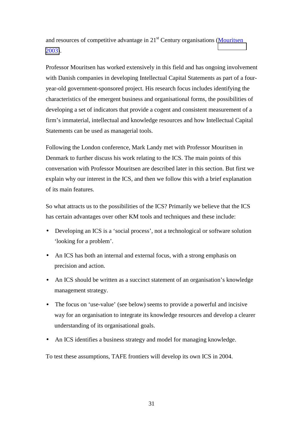and resources of competitive advantage in 21<sup>st</sup> Century organisations (Mouritsen [2003\)](http://www.euintangibles.net/conferences/presentations/4_Jan-Mouritsen.pdf).

Professor Mouritsen has worked extensively in this field and has ongoing involvement with Danish companies in developing Intellectual Capital Statements as part of a fouryear-old government-sponsored project. His research focus includes identifying the characteristics of the emergent business and organisational forms, the possibilities of developing a set of indicators that provide a cogent and consistent measurement of a firm's immaterial, intellectual and knowledge resources and how Intellectual Capital Statements can be used as managerial tools.

Following the London conference, Mark Landy met with Professor Mouritsen in Denmark to further discuss his work relating to the ICS. The main points of this conversation with Professor Mouritsen are described later in this section. But first we explain why our interest in the ICS, and then we follow this with a brief explanation of its main features.

So what attracts us to the possibilities of the ICS? Primarily we believe that the ICS has certain advantages over other KM tools and techniques and these include:

- Developing an ICS is a 'social process', not a technological or software solution 'looking for a problem'.
- An ICS has both an internal and external focus, with a strong emphasis on precision and action.
- An ICS should be written as a succinct statement of an organisation's knowledge management strategy.
- The focus on 'use-value' (see below) seems to provide a powerful and incisive way for an organisation to integrate its knowledge resources and develop a clearer understanding of its organisational goals.
- An ICS identifies a business strategy and model for managing knowledge.

To test these assumptions, TAFE frontiers will develop its own ICS in 2004.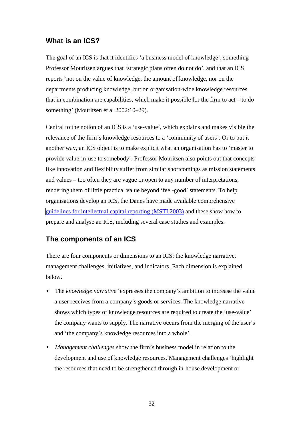## <span id="page-35-0"></span>**What is an ICS?**

The goal of an ICS is that it identifies 'a business model of knowledge', something Professor Mouritsen argues that 'strategic plans often do not do', and that an ICS reports 'not on the value of knowledge, the amount of knowledge, nor on the departments producing knowledge, but on organisation-wide knowledge resources that in combination are capabilities, which make it possible for the firm to act – to do something' (Mouritsen et al 2002:10–29).

Central to the notion of an ICS is a 'use-value', which explains and makes visible the relevance of the firm's knowledge resources to a 'community of users'. Or to put it another way, an ICS object is to make explicit what an organisation has to 'master to provide value-in-use to somebody'. Professor Mouritsen also points out that concepts like innovation and flexibility suffer from similar shortcomings as mission statements and values – too often they are vague or open to any number of interpretations, rendering them of little practical value beyond 'feel-good' statements. To help organisations develop an ICS, the Danes have made available comprehensive [guidelines for intellectual capital reporting \(MSTI 2003\)](http://www.videnskabsministeriet.dk/cgi-bin/theme-list.cgi?theme_id=100650&_lang=uk) and these show how to prepare and analyse an ICS, including several case studies and examples.

## **The components of an ICS**

There are four components or dimensions to an ICS: the knowledge narrative, management challenges, initiatives, and indicators. Each dimension is explained below.

- The *knowledge narrative* 'expresses the company's ambition to increase the value a user receives from a company's goods or services. The knowledge narrative shows which types of knowledge resources are required to create the 'use-value' the company wants to supply. The narrative occurs from the merging of the user's and 'the company's knowledge resources into a whole'.
- *Management challenges* show the firm's business model in relation to the development and use of knowledge resources. Management challenges 'highlight the resources that need to be strengthened through in-house development or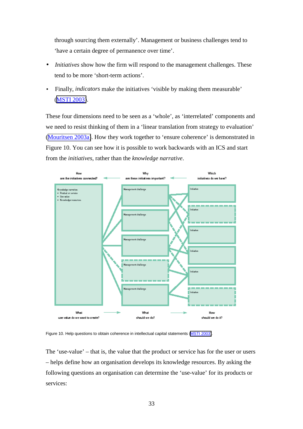through sourcing them externally'. Management or business challenges tend to 'have a certain degree of permanence over time'.

- *Initiatives* show how the firm will respond to the management challenges. These tend to be more 'short-term actions'.
- Finally, *indicators* make the initiatives 'visible by making them measurable' ([MSTI 2003\)](http://www.videnskabsministeriet.dk/cgi-bin/theme-list.cgi?theme_id=100650&_lang=uk).

These four dimensions need to be seen as a 'whole', as 'interrelated' components and we need to resist thinking of them in a 'linear translation from strategy to evaluation' ([Mouritsen 2003a\)](http://www.euintangibles.net/library/localfiles/WP6/6.3_Mouritsen_2003b.pdf). How they work together to 'ensure coherence' is demonstrated in Figure 10. You can see how it is possible to work backwards with an ICS and start from the *initiatives*, rather than the *knowledge narrative*.



Figure 10. Help questions to obtain coherence in intellectual capital statements ([MSTI 2003\)](http://www.videnskabsministeriet.dk/cgi-bin/theme-list.cgi?theme_id=100650&_lang=uk).

The 'use-value' – that is, the value that the product or service has for the user or users – helps define how an organisation develops its knowledge resources. By asking the following questions an organisation can determine the 'use-value' for its products or services: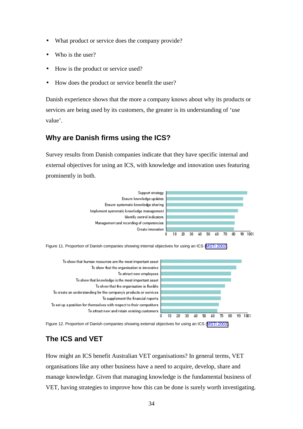- <span id="page-37-0"></span>What product or service does the company provide?
- Who is the user?
- How is the product or service used?
- How does the product or service benefit the user?

Danish experience shows that the more a company knows about why its products or services are being used by its customers, the greater is its understanding of 'use value'.

## **Why are Danish firms using the ICS?**

Survey results from Danish companies indicate that they have specific internal and external objectives for using an ICS, with knowledge and innovation uses featuring prominently in both.



Figure 11. Proportion of Danish companies showing internal objectives for using an ICS [\(MSTI 2003\)](http://www.videnskabsministeriet.dk/cgi-bin/theme-list.cgi?theme_id=100650&_lang=uk).



Figure 12. Proportion of Danish companies showing external objectives for using an ICS ([MSTI 2003\)](http://www.videnskabsministeriet.dk/cgi-bin/theme-list.cgi?theme_id=100650&_lang=uk).

# **The ICS and VET**

How might an ICS benefit Australian VET organisations? In general terms, VET organisations like any other business have a need to acquire, develop, share and manage knowledge. Given that managing knowledge is the fundamental business of VET, having strategies to improve how this can be done is surely worth investigating.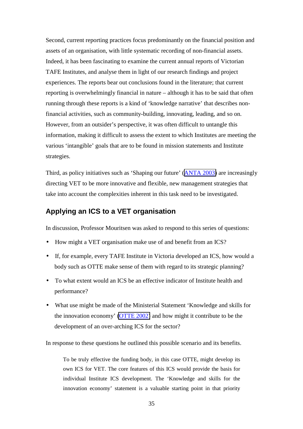<span id="page-38-0"></span>Second, current reporting practices focus predominantly on the financial position and assets of an organisation, with little systematic recording of non-financial assets. Indeed, it has been fascinating to examine the current annual reports of Victorian TAFE Institutes, and analyse them in light of our research findings and project experiences. The reports bear out conclusions found in the literature; that current reporting is overwhelmingly financial in nature – although it has to be said that often running through these reports is a kind of 'knowledge narrative' that describes nonfinancial activities, such as community-building, innovating, leading, and so on. However, from an outsider's perspective, it was often difficult to untangle this information, making it difficult to assess the extent to which Institutes are meeting the various 'intangible' goals that are to be found in mission statements and Institute strategies.

Third, as policy initiatives such as 'Shaping our future' ([ANTA 2003\)](http://www.anta.gov.au/dapstrategy.asp) are increasingly directing VET to be more innovative and flexible, new management strategies that take into account the complexities inherent in this task need to be investigated.

#### **Applying an ICS to a VET organisation**

In discussion, Professor Mouritsen was asked to respond to this series of questions:

- How might a VET organisation make use of and benefit from an ICS?
- If, for example, every TAFE Institute in Victoria developed an ICS, how would a body such as OTTE make sense of them with regard to its strategic planning?
- To what extent would an ICS be an effective indicator of Institute health and performance?
- What use might be made of the Ministerial Statement 'Knowledge and skills for the innovation economy'  $(OTTE 2002)$  and how might it contribute to be the development of an over-arching ICS for the sector?

In response to these questions he outlined this possible scenario and its benefits.

To be truly effective the funding body, in this case OTTE, might develop its own ICS for VET. The core features of this ICS would provide the basis for individual Institute ICS development. The 'Knowledge and skills for the innovation economy' statement is a valuable starting point in that priority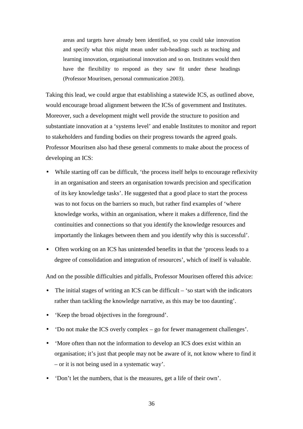areas and targets have already been identified, so you could take innovation and specify what this might mean under sub-headings such as teaching and learning innovation, organisational innovation and so on. Institutes would then have the flexibility to respond as they saw fit under these headings (Professor Mouritsen, personal communication 2003).

Taking this lead, we could argue that establishing a statewide ICS, as outlined above, would encourage broad alignment between the ICSs of government and Institutes. Moreover, such a development might well provide the structure to position and substantiate innovation at a 'systems level' and enable Institutes to monitor and report to stakeholders and funding bodies on their progress towards the agreed goals. Professor Mouritsen also had these general comments to make about the process of developing an ICS:

- While starting off can be difficult, 'the process itself helps to encourage reflexivity in an organisation and steers an organisation towards precision and specification of its key knowledge tasks'. He suggested that a good place to start the process was to not focus on the barriers so much, but rather find examples of 'where knowledge works, within an organisation, where it makes a difference, find the continuities and connections so that you identify the knowledge resources and importantly the linkages between them and you identify why this is successful'.
- Often working on an ICS has unintended benefits in that the 'process leads to a degree of consolidation and integration of resources', which of itself is valuable.

And on the possible difficulties and pitfalls, Professor Mouritsen offered this advice:

- The initial stages of writing an ICS can be difficult  $-$  'so start with the indicators rather than tackling the knowledge narrative, as this may be too daunting'.
- 'Keep the broad objectives in the foreground'.
- 'Do not make the ICS overly complex go for fewer management challenges'.
- 'More often than not the information to develop an ICS does exist within an organisation; it's just that people may not be aware of it, not know where to find it – or it is not being used in a systematic way'.
- 'Don't let the numbers, that is the measures, get a life of their own'.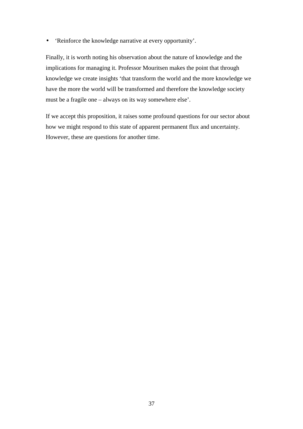• 'Reinforce the knowledge narrative at every opportunity'.

Finally, it is worth noting his observation about the nature of knowledge and the implications for managing it. Professor Mouritsen makes the point that through knowledge we create insights 'that transform the world and the more knowledge we have the more the world will be transformed and therefore the knowledge society must be a fragile one – always on its way somewhere else'.

If we accept this proposition, it raises some profound questions for our sector about how we might respond to this state of apparent permanent flux and uncertainty. However, these are questions for another time.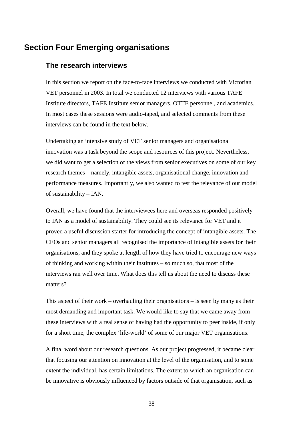# <span id="page-41-0"></span>**Section Four Emerging organisations**

#### **The research interviews**

In this section we report on the face-to-face interviews we conducted with Victorian VET personnel in 2003. In total we conducted 12 interviews with various TAFE Institute directors, TAFE Institute senior managers, OTTE personnel, and academics. In most cases these sessions were audio-taped, and selected comments from these interviews can be found in the text below.

Undertaking an intensive study of VET senior managers and organisational innovation was a task beyond the scope and resources of this project. Nevertheless, we did want to get a selection of the views from senior executives on some of our key research themes – namely, intangible assets, organisational change, innovation and performance measures. Importantly, we also wanted to test the relevance of our model of sustainability – IAN.

Overall, we have found that the interviewees here and overseas responded positively to IAN as a model of sustainability. They could see its relevance for VET and it proved a useful discussion starter for introducing the concept of intangible assets. The CEOs and senior managers all recognised the importance of intangible assets for their organisations, and they spoke at length of how they have tried to encourage new ways of thinking and working within their Institutes – so much so, that most of the interviews ran well over time. What does this tell us about the need to discuss these matters?

This aspect of their work – overhauling their organisations – is seen by many as their most demanding and important task. We would like to say that we came away from these interviews with a real sense of having had the opportunity to peer inside, if only for a short time, the complex 'life-world' of some of our major VET organisations.

A final word about our research questions. As our project progressed, it became clear that focusing our attention on innovation at the level of the organisation, and to some extent the individual, has certain limitations. The extent to which an organisation can be innovative is obviously influenced by factors outside of that organisation, such as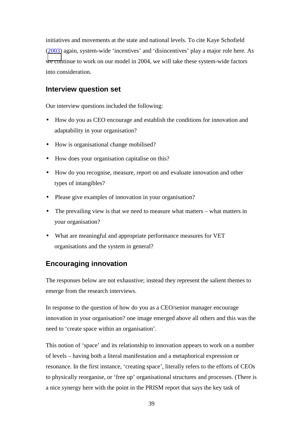<span id="page-42-0"></span>initiatives and movements at the state and national levels. To cite Kaye Schofield (2003) again, system-wide 'incentives' and 'disincentives' play a major role here. As [we con](http://www.tafefrontiers.com.au/flexible/presentations/Plenary/Kaye_Schofield.ppt)tinue to work on our model in 2004, we will take these system-wide factors into consideration.

#### **Interview question set**

Our interview questions included the following:

- How do you as CEO encourage and establish the conditions for innovation and adaptability in your organisation?
- How is organisational change mobilised?
- How does your organisation capitalise on this?
- How do you recognise, measure, report on and evaluate innovation and other types of intangibles?
- Please give examples of innovation in your organisation?
- The prevailing view is that we need to measure what matters what matters in your organisation?
- What are meaningful and appropriate performance measures for VET organisations and the system in general?

#### **Encouraging innovation**

The responses below are not exhaustive; instead they represent the salient themes to emerge from the research interviews.

In response to the question of how do you as a CEO/senior manager encourage innovation in your organisation? one image emerged above all others and this was the need to 'create space within an organisation'.

This notion of 'space' and its relationship to innovation appears to work on a number of levels – having both a literal manifestation and a metaphorical expression or resonance. In the first instance, 'creating space'*,* literally refers to the efforts of CEOs to physically reorganise, or 'free up' organisational structures and processes. (There is a nice synergy here with the point in the PRISM report that says the key task of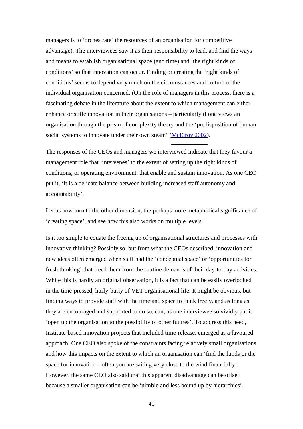managers is to 'orchestrate*'* the resources of an organisation for competitive advantage). The interviewees saw it as their responsibility to lead, and find the ways and means to establish organisational space (and time) and 'the right kinds of conditions' so that innovation can occur. Finding or creating the 'right kinds of conditions' seems to depend very much on the circumstances and culture of the individual organisation concerned. (On the role of managers in this process, there is a fascinating debate in the literature about the extent to which management can either enhance or stifle innovation in their organisations – particularly if one views an organisation through the prism of complexity theory and the 'predisposition of human social systems to innovate under their own steam' [\(McElroy 2002\)](http://isacco.emeraldinsight.com/vl=4556741/cl=31/nw=1/fm=html/rpsv/cw/mcb/14691930/v3n1/s2/p30).

The responses of the CEOs and managers we interviewed indicate that they favour a management role that 'intervenes' to the extent of setting up the right kinds of conditions, or operating environment, that enable and sustain innovation. As one CEO put it, 'It is a delicate balance between building increased staff autonomy and accountability'.

Let us now turn to the other dimension, the perhaps more metaphorical significance of 'creating space', and see how this also works on multiple levels.

Is it too simple to equate the freeing up of organisational structures and processes with innovative thinking? Possibly so, but from what the CEOs described, innovation and new ideas often emerged when staff had the 'conceptual space' or 'opportunities for fresh thinking' that freed them from the routine demands of their day-to-day activities. While this is hardly an original observation, it is a fact that can be easily overlooked in the time-pressed, hurly-burly of VET organisational life. It might be obvious, but finding ways to provide staff with the time and space to think freely, and as long as they are encouraged and supported to do so, can, as one interviewee so vividly put it, 'open up the organisation to the possibility of other futures'. To address this need, Institute-based innovation projects that included time-release, emerged as a favoured approach. One CEO also spoke of the constraints facing relatively small organisations and how this impacts on the extent to which an organisation can 'find the funds or the space for innovation – often you are sailing very close to the wind financially'. However, the same CEO also said that this apparent disadvantage can be offset because a smaller organisation can be 'nimble and less bound up by hierarchies'.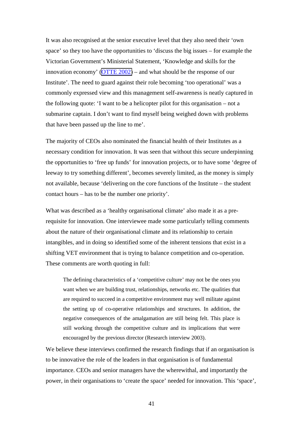It was also recognised at the senior executive level that they also need their 'own space' so they too have the opportunities to 'discuss the big issues – for example the Victorian Government's Ministerial Statement, 'Knowledge and skills for the innovation economy' [\(OTTE 2002\)](http://www.otte.vic.gov.au/publications/KnowledgeandSkills/pdf/KS-Statement.pdf) – and what should be the response of our Institute'. The need to guard against their role becoming 'too operational' was a commonly expressed view and this management self-awareness is neatly captured in the following quote: 'I want to be a helicopter pilot for this organisation – not a submarine captain. I don't want to find myself being weighed down with problems that have been passed up the line to me'.

The majority of CEOs also nominated the financial health of their Institutes as a necessary condition for innovation. It was seen that without this secure underpinning the opportunities to 'free up funds' for innovation projects, or to have some 'degree of leeway to try something different', becomes severely limited, as the money is simply not available, because 'delivering on the core functions of the Institute – the student contact hours – has to be the number one priority'.

What was described as a 'healthy organisational climate' also made it as a prerequisite for innovation. One interviewee made some particularly telling comments about the nature of their organisational climate and its relationship to certain intangibles, and in doing so identified some of the inherent tensions that exist in a shifting VET environment that is trying to balance competition and co-operation. These comments are worth quoting in full:

The defining characteristics of a 'competitive culture' may not be the ones you want when we are building trust, relationships, networks etc. The qualities that are required to succeed in a competitive environment may well militate against the setting up of co-operative relationships and structures. In addition, the negative consequences of the amalgamation are still being felt. This place is still working through the competitive culture and its implications that were encouraged by the previous director (Research interview 2003).

We believe these interviews confirmed the research findings that if an organisation is to be innovative the role of the leaders in that organisation is of fundamental importance. CEOs and senior managers have the wherewithal, and importantly the power, in their organisations to 'create the space' needed for innovation. This 'space',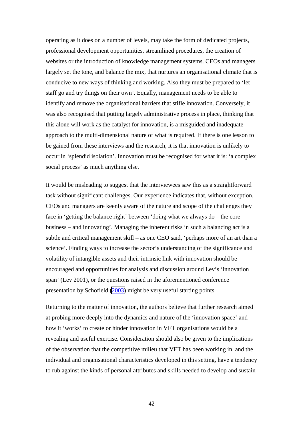operating as it does on a number of levels, may take the form of dedicated projects, professional development opportunities, streamlined procedures, the creation of websites or the introduction of knowledge management systems. CEOs and managers largely set the tone, and balance the mix, that nurtures an organisational climate that is conducive to new ways of thinking and working. Also they must be prepared to 'let staff go and try things on their own'. Equally, management needs to be able to identify and remove the organisational barriers that stifle innovation. Conversely, it was also recognised that putting largely administrative process in place, thinking that this alone will work as the catalyst for innovation, is a misguided and inadequate approach to the multi-dimensional nature of what is required. If there is one lesson to be gained from these interviews and the research, it is that innovation is unlikely to occur in 'splendid isolation'. Innovation must be recognised for what it is: 'a complex social process' as much anything else.

It would be misleading to suggest that the interviewees saw this as a straightforward task without significant challenges. Our experience indicates that, without exception, CEOs and managers are keenly aware of the nature and scope of the challenges they face in 'getting the balance right' between 'doing what we always do – the core business – and innovating'. Managing the inherent risks in such a balancing act is a subtle and critical management skill – as one CEO said, 'perhaps more of an art than a science'. Finding ways to increase the sector's understanding of the significance and volatility of intangible assets and their intrinsic link with innovation should be encouraged and opportunities for analysis and discussion around Lev's 'innovation span' (Lev 2001), or the questions raised in the aforementioned conference presentation by Schofield [\(2003\)](http://www.tafefrontiers.com.au/flexible/presentations/Plenary/Kaye_Schofield.ppt) might be very useful starting points.

Returning to the matter of innovation, the authors believe that further research aimed at probing more deeply into the dynamics and nature of the 'innovation space' and how it 'works' to create or hinder innovation in VET organisations would be a revealing and useful exercise. Consideration should also be given to the implications of the observation that the competitive milieu that VET has been working in, and the individual and organisational characteristics developed in this setting, have a tendency to rub against the kinds of personal attributes and skills needed to develop and sustain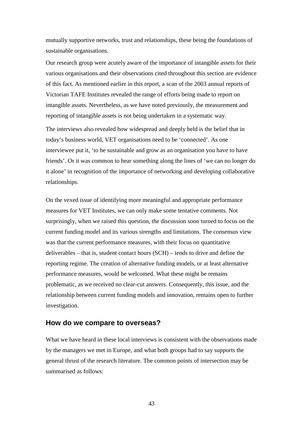<span id="page-46-0"></span>mutually supportive networks, trust and relationships, these being the foundations of sustainable organisations.

Our research group were acutely aware of the importance of intangible assets for their various organisations and their observations cited throughout this section are evidence of this fact. As mentioned earlier in this report, a scan of the 2003 annual reports of Victorian TAFE Institutes revealed the range of efforts being made to report on intangible assets. Nevertheless, as we have noted previously, the measurement and reporting of intangible assets is not being undertaken in a systematic way.

The interviews also revealed how widespread and deeply held is the belief that in today's business world, VET organisations need to be 'connected'. As one interviewee put it, 'to be sustainable and grow as an organisation you have to have friends'. Or it was common to hear something along the lines of 'we can no longer do it alone' in recognition of the importance of networking and developing collaborative relationships.

On the vexed issue of identifying more meaningful and appropriate performance measures for VET Institutes, we can only make some tentative comments. Not surprisingly, when we raised this question, the discussion soon turned to focus on the current funding model and its various strengths and limitations. The consensus view was that the current performance measures, with their focus on quantitative deliverables – that is, student contact hours (SCH) – tends to drive and define the reporting regime. The creation of alternative funding models, or at least alternative performance measures, would be welcomed. What these might be remains problematic, as we received no clear-cut answers. Consequently, this issue, and the relationship between current funding models and innovation, remains open to further investigation.

#### **How do we compare to overseas?**

What we have heard in these local interviews is consistent with the observations made by the managers we met in Europe, and what both groups had to say supports the general thrust of the research literature. The common points of intersection may be summarised as follows: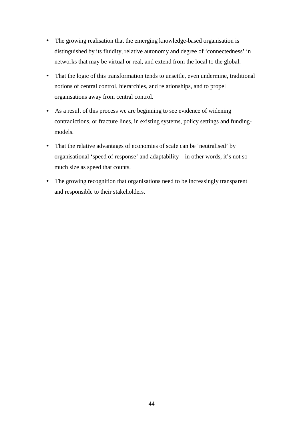- The growing realisation that the emerging knowledge-based organisation is distinguished by its fluidity, relative autonomy and degree of 'connectedness' in networks that may be virtual or real, and extend from the local to the global.
- That the logic of this transformation tends to unsettle, even undermine, traditional notions of central control, hierarchies, and relationships, and to propel organisations away from central control.
- As a result of this process we are beginning to see evidence of widening contradictions, or fracture lines, in existing systems, policy settings and fundingmodels.
- That the relative advantages of economies of scale can be 'neutralised' by organisational 'speed of response' and adaptability – in other words, it's not so much size as speed that counts.
- The growing recognition that organisations need to be increasingly transparent and responsible to their stakeholders.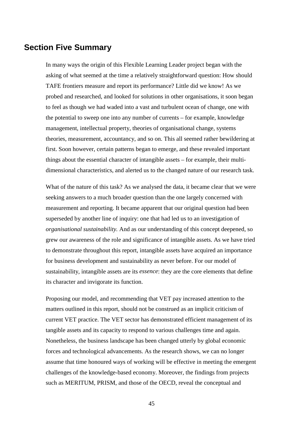## <span id="page-48-0"></span>**Section Five Summary**

In many ways the origin of this Flexible Learning Leader project began with the asking of what seemed at the time a relatively straightforward question: How should TAFE frontiers measure and report its performance? Little did we know! As we probed and researched, and looked for solutions in other organisations, it soon began to feel as though we had waded into a vast and turbulent ocean of change, one with the potential to sweep one into any number of currents – for example, knowledge management, intellectual property, theories of organisational change, systems theories, measurement, accountancy, and so on. This all seemed rather bewildering at first. Soon however, certain patterns began to emerge, and these revealed important things about the essential character of intangible assets – for example, their multidimensional characteristics, and alerted us to the changed nature of our research task.

What of the nature of this task? As we analysed the data, it became clear that we were seeking answers to a much broader question than the one largely concerned with measurement and reporting. It became apparent that our original question had been superseded by another line of inquiry: one that had led us to an investigation of *organisational sustainability.* And as our understanding of this concept deepened, so grew our awareness of the role and significance of intangible assets. As we have tried to demonstrate throughout this report, intangible assets have acquired an importance for business development and sustainability as never before. For our model of sustainability, intangible assets are its *essence*: they are the core elements that define its character and invigorate its function.

Proposing our model, and recommending that VET pay increased attention to the matters outlined in this report, should not be construed as an implicit criticism of current VET practice. The VET sector has demonstrated efficient management of its tangible assets and its capacity to respond to various challenges time and again. Nonetheless, the business landscape has been changed utterly by global economic forces and technological advancements. As the research shows, we can no longer assume that time honoured ways of working will be effective in meeting the emergent challenges of the knowledge-based economy. Moreover, the findings from projects such as MERITUM, PRISM, and those of the OECD, reveal the conceptual and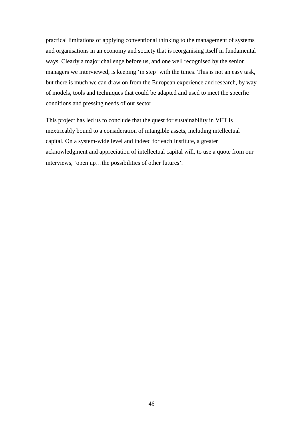practical limitations of applying conventional thinking to the management of systems and organisations in an economy and society that is reorganising itself in fundamental ways. Clearly a major challenge before us, and one well recognised by the senior managers we interviewed, is keeping 'in step' with the times. This is not an easy task, but there is much we can draw on from the European experience and research, by way of models, tools and techniques that could be adapted and used to meet the specific conditions and pressing needs of our sector.

This project has led us to conclude that the quest for sustainability in VET is inextricably bound to a consideration of intangible assets, including intellectual capital. On a system-wide level and indeed for each Institute, a greater acknowledgment and appreciation of intellectual capital will, to use a quote from our interviews, 'open up…the possibilities of other futures'.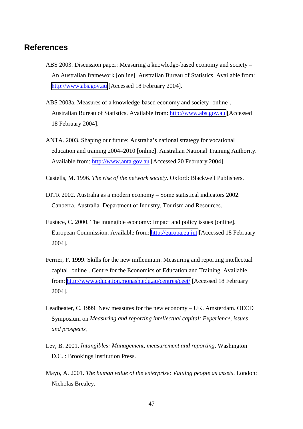## <span id="page-50-0"></span>**References**

- ABS 2003. Discussion paper: Measuring a knowledge-based economy and society An Australian framework [online]. Australian Bureau of Statistics. Available from: [http://www.abs.gov.au](http://www.abs.gov.au/Ausstats/abs%40.nsf/66f306f503e529a5ca25697e0017661f/371268d066f69612ca256c220025e8a6!OpenDocument) [Accessed 18 February 2004].
- ABS 2003a. Measures of a knowledge-based economy and society [online]. Australian Bureau of Statistics. Available from: [http://www.abs.gov.au](http://www.abs.gov.au/Ausstats/abs%40.nsf/94713ad445ff1425ca25682000192af2/4f377c757da4394fca256d97002c1a68!OpenDocument) [Accessed] 18 February 2004].
- ANTA. 2003. Shaping our future: Australia's national strategy for vocational education and training 2004–2010 [online]. Australian National Training Authority. Available from: [http://www.anta.gov.au](http://www.anta.gov.au/dapstrategy.asp) [Accessed 20 February 2004].
- Castells, M. 1996. *The rise of the network society*. Oxford: Blackwell Publishers.
- DITR 2002. Australia as a modern economy Some statistical indicators 2002. Canberra, Australia. Department of Industry, Tourism and Resources.
- Eustace, C. 2000. The intangible economy: Impact and policy issues [online]. European Commission. Available from: [http://europa.eu.int](http://europa.eu.int/comm/enterprise/services/business_services/documents/studies/intangible_economy_hleg_report.pdf) [Accessed 18 February 2004].
- Ferrier, F. 1999. Skills for the new millennium: Measuring and reporting intellectual capital [online]. Centre for the Economics of Education and Training. Available from: [http://www.education.monash.edu.au/centres/ceet/](http://www.education.monash.edu.au/centres/ceet/ivetafer.rtf) [Accessed 18 February 2004].
- Leadbeater, C. 1999. New measures for the new economy UK. Amsterdam. OECD Symposium on *Measuring and reporting intellectual capital: Experience, issues and prospects*.
- Lev, B. 2001. *Intangibles: Management, measurement and reporting*. Washington D.C. : Brookings Institution Press.
- Mayo, A. 2001. *The human value of the enterprise: Valuing people as assets*. London: Nicholas Brealey.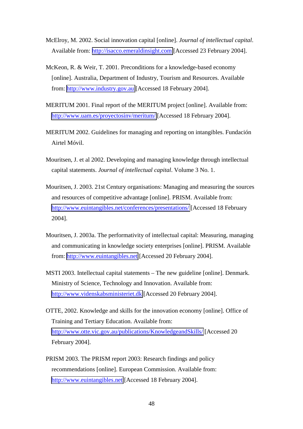- McElroy, M. 2002. Social innovation capital [online]. *Journal of intellectual capital*. Available from: [http://isacco.emeraldinsight.com](http://isacco.emeraldinsight.com/vl=4556741/cl=31/nw=1/fm=html/rpsv/cw/mcb/14691930/v3n1/s2/p30) [Accessed 23 February 2004].
- McKeon, R. & Weir, T. 2001. Preconditions for a knowledge-based economy [online]. Australia, Department of Industry, Tourism and Resources. Available from: [http://www.industry.gov.au](http://www.industry.gov.au/assets/documents/itrinternet/NEBBHERT_article_final.doc) [Accessed 18 February 2004].
- MERITUM 2001. Final report of the MERITUM project [online]. Available from: [http://www.uam.es/proyectosinv/meritum/](http://www.uam.es/proyectosinv/meritum/mainresults.doc) [Accessed 18 February 2004].
- MERITUM 2002. Guidelines for managing and reporting on intangibles. Fundación Airtel Móvil.
- Mouritsen, J. et al 2002. Developing and managing knowledge through intellectual capital statements. *Journal of intellectual capital*. Volume 3 No. 1.
- Mouritsen, J. 2003. 21st Century organisations: Managing and measuring the sources and resources of competitive advantage [online]. PRISM. Available from: [http://www.euintangibles.net/conferences/presentations/](http://www.euintangibles.net/conferences/presentations/4_Jan-Mouritsen.pdf) [Accessed 18 February 2004].
- Mouritsen, J. 2003a. The performativity of intellectual capital: Measuring, managing and communicating in knowledge society enterprises [online]. PRISM. Available from: [http://www.euintangibles.net](http://www.euintangibles.net/library/localfiles/WP6/6.3_Mouritsen_2003b.pdf) [Accessed 20 February 2004].
- MSTI 2003. Intellectual capital statements The new guideline [online]. Denmark. Ministry of Science, Technology and Innovation. Available from: [http://www.videnskabsministeriet.dk](http://www.videnskabsministeriet.dk/cgi-bin/theme-list.cgi?theme_id=100650&_lang=uk) [Accessed 20 February 2004].
- OTTE, 2002. Knowledge and skills for the innovation economy [online]. Office of Training and Tertiary Education. Available from: [http://www.otte.vic.gov.au/publications/KnowledgeandSkills/](http://www.otte.vic.gov.au/publications/KnowledgeandSkills/pdf/KS-Statement.pdf) [Accessed 20 February 2004].
- PRISM 2003. The PRISM report 2003: Research findings and policy recommendations [online]. European Commission. Available from: [http://www.euintangibles.net](http://www.euintangibles.net/research_results/FinalReport.pdf) [Accessed 18 February 2004].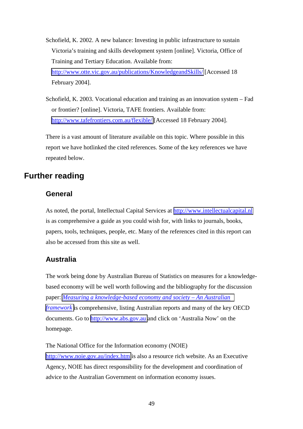<span id="page-52-0"></span>Schofield, K. 2002. A new balance: Investing in public infrastructure to sustain Victoria's training and skills development system [online]. Victoria, Office of Training and Tertiary Education. Available from: [http://www.otte.vic.gov.au/publications/KnowledgeandSkills/](http://www.otte.vic.gov.au/publications/KnowledgeandSkills/pdf/Project6-Infrastructure-Schofield.pdf) [Accessed 18 February 2004].

Schofield, K. 2003. Vocational education and training as an innovation system – Fad or frontier? [online]. Victoria, TAFE frontiers. Available from: [http://www.tafefrontiers.com.au/flexible/](http://www.tafefrontiers.com.au/flexible/presentations/Plenary/Kaye_Schofield.ppt) [Accessed 18 February 2004].

There is a vast amount of literature available on this topic. Where possible in this report we have hotlinked the cited references. Some of the key references we have repeated below.

# **Further reading**

## **General**

As noted, the portal, Intellectual Capital Services at [http://www.intellectualcapital.nl](http://www.intellectualcapital.nl/) is as comprehensive a guide as you could wish for, with links to journals, books, papers, tools, techniques, people, etc. Many of the references cited in this report can also be accessed from this site as well.

## **Australia**

The work being done by Australian Bureau of Statistics on measures for a knowledgebased economy will be well worth following and the bibliography for the discussion paper: *[Measuring a knowledge-based economy and society – An Australian](http://www.abs.gov.au/Ausstats/abs%40.nsf/66f306f503e529a5ca25697e0017661f/371268d066f69612ca256c220025e8a6!OpenDocument)  [framework](http://www.abs.gov.au/Ausstats/abs%40.nsf/66f306f503e529a5ca25697e0017661f/371268d066f69612ca256c220025e8a6!OpenDocument)* is comprehensive, listing Australian reports and many of the key OECD documents. Go to [http://www.abs.gov.au](http://www.abs.gov.au/) and click on 'Australia Now' on the homepage.

The National Office for the Information economy (NOIE) <http://www.noie.gov.au/index.htm>is also a resource rich website. As an Executive Agency, NOIE has direct responsibility for the development and coordination of advice to the Australian Government on information economy issues.